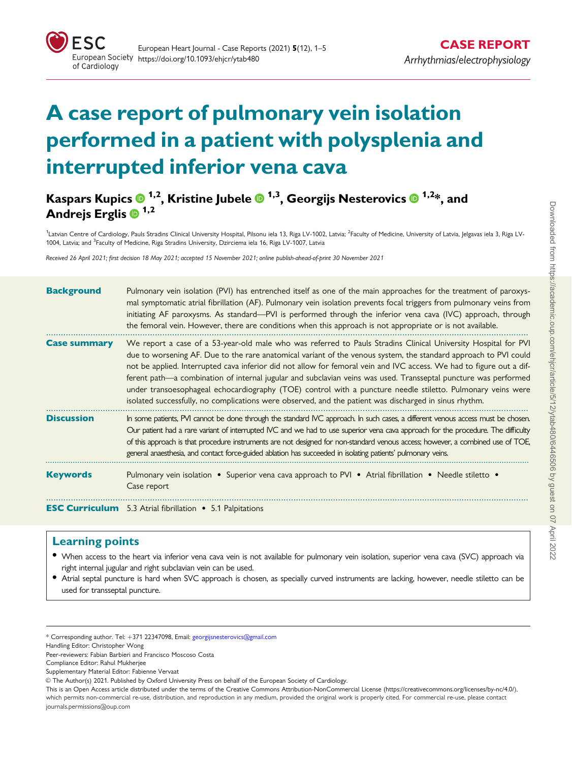

# A case report of pulmonary vein isolation performed in a patient with polysplenia and interrupted inferior vena cava

# Kaspars Kupics  $\bullet$  <sup>1,2</sup>, Kristine Jubele  $\bullet$  <sup>1,3</sup>, Georgijs Nesterovics  $\bullet$  <sup>1,2\*</sup>, and Andrejs Erglis  $\mathbf{0}^{1,2}$

<sup>1</sup>Latvian Centre of Cardiology, Pauls Stradins Clinical University Hospital, Pilsonu iela 13, Riga LV-1002, Latvia; <sup>2</sup>Faculty of Medicine, University of Latvia, Jelgavas iela 3, Riga LV-1004, Latvia; and <sup>3</sup>Faculty of Medicine, Riga Stradins University, Dzirciema iela 16, Riga LV-1007, Latvia

Received 26 April 2021; first decision 18 May 2021; accepted 15 November 2021; online publish-ahead-of-print 30 November 2021

| <b>Background</b>   | Pulmonary vein isolation (PVI) has entrenched itself as one of the main approaches for the treatment of paroxys-<br>mal symptomatic atrial fibrillation (AF). Pulmonary vein isolation prevents focal triggers from pulmonary veins from<br>initiating AF paroxysms. As standard—PVI is performed through the inferior vena cava (IVC) approach, through<br>the femoral vein. However, there are conditions when this approach is not appropriate or is not available.                                                                                                                                                                                                                                 |
|---------------------|--------------------------------------------------------------------------------------------------------------------------------------------------------------------------------------------------------------------------------------------------------------------------------------------------------------------------------------------------------------------------------------------------------------------------------------------------------------------------------------------------------------------------------------------------------------------------------------------------------------------------------------------------------------------------------------------------------|
| <b>Case summary</b> | We report a case of a 53-year-old male who was referred to Pauls Stradins Clinical University Hospital for PVI<br>due to worsening AF. Due to the rare anatomical variant of the venous system, the standard approach to PVI could<br>not be applied. Interrupted cava inferior did not allow for femoral vein and IVC access. We had to figure out a dif-<br>ferent path—a combination of internal jugular and subclavian veins was used. Transseptal puncture was performed<br>under transoesophageal echocardiography (TOE) control with a puncture needle stiletto. Pulmonary veins were<br>isolated successfully, no complications were observed, and the patient was discharged in sinus rhythm. |
| <b>Discussion</b>   | In some patients, PVI cannot be done through the standard IVC approach. In such cases, a different venous access must be chosen.<br>Our patient had a rare variant of interrupted IVC and we had to use superior vena cava approach for the procedure. The difficulty<br>of this approach is that procedure instruments are not designed for non-standard venous access; however, a combined use of TOE,<br>general anaesthesia, and contact force-guided ablation has succeeded in isolating patients' pulmonary veins.                                                                                                                                                                               |
| <b>Keywords</b>     | Pulmonary vein isolation • Superior vena cava approach to PVI • Atrial fibrillation • Needle stiletto •<br>Case report                                                                                                                                                                                                                                                                                                                                                                                                                                                                                                                                                                                 |
|                     | <b>ESC Curriculum</b> 5.3 Atrial fibrillation • 5.1 Palpitations                                                                                                                                                                                                                                                                                                                                                                                                                                                                                                                                                                                                                                       |

#### Learning points

- When access to the heart via inferior vena cava vein is not available for pulmonary vein isolation, superior vena cava (SVC) approach via right internal jugular and right subclavian vein can be used.
- Atrial septal puncture is hard when SVC approach is chosen, as specially curved instruments are lacking, however, needle stiletto can be used for transseptal puncture.

Handling Editor: Christopher Wong

Supplementary Material Editor: Fabienne Vervaat

<sup>\*</sup> Corresponding author. Tel: þ371 22347098, Email: georgijsnesterovics@gmail.com

Peer-reviewers: Fabian Barbieri and Francisco Moscoso Costa

Compliance Editor: Rahul Mukherjee

V<sup>C</sup> The Author(s) 2021. Published by Oxford University Press on behalf of the European Society of Cardiology.

This is an Open Access article distributed under the terms of the Creative Commons Attribution-NonCommercial License ([https://creativecommons.org/licenses/by-nc/4.0/\)](https://creativecommons.org/licenses/by-nc/4.0/), which permits non-commercial re-use, distribution, and reproduction in any medium, provided the original work is properly cited. For commercial re-use, please contact journals.permissions@oup.com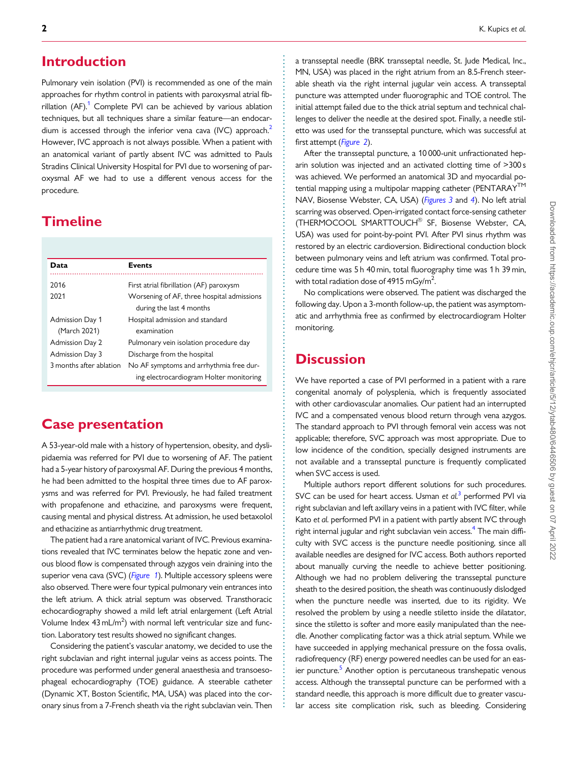#### <span id="page-1-0"></span>**Introduction**

Pulmonary vein isolation (PVI) is recommended as one of the main approaches for rhythm control in patients with paroxysmal atrial fibrillation  $(AF)$ <sup>[1](#page-4-0)</sup> Complete PVI can be achieved by various ablation techniques, but all techniques share a similar feature—an endocardium is accessed through the inferior vena cava (IVC) approach.<sup>2</sup> However, IVC approach is not always possible. When a patient with an anatomical variant of partly absent IVC was admitted to Pauls Stradins Clinical University Hospital for PVI due to worsening of paroxysmal AF we had to use a different venous access for the procedure.

## **Timeline**

| Data                    | <b>Events</b>                              |
|-------------------------|--------------------------------------------|
|                         |                                            |
| 2016                    | First atrial fibrillation (AF) paroxysm    |
| 2021                    | Worsening of AF, three hospital admissions |
|                         | during the last 4 months                   |
| <b>Admission Day 1</b>  | Hospital admission and standard            |
| (March 2021)            | examination                                |
| <b>Admission Day 2</b>  | Pulmonary vein isolation procedure day     |
| Admission Day 3         | Discharge from the hospital                |
| 3 months after ablation | No AF symptoms and arrhythmia free dur-    |
|                         | ing electrocardiogram Holter monitoring    |

## Case presentation

A 53-year-old male with a history of hypertension, obesity, and dyslipidaemia was referred for PVI due to worsening of AF. The patient had a 5-year history of paroxysmal AF. During the previous 4 months, he had been admitted to the hospital three times due to AF paroxysms and was referred for PVI. Previously, he had failed treatment with propafenone and ethacizine, and paroxysms were frequent, causing mental and physical distress. At admission, he used betaxolol and ethacizine as antiarrhythmic drug treatment.

The patient had a rare anatomical variant of IVC. Previous examinations revealed that IVC terminates below the hepatic zone and venous blood flow is compensated through azygos vein draining into the superior vena cava (SVC) ([Figure 1](#page-2-0)). Multiple accessory spleens were also observed. There were four typical pulmonary vein entrances into the left atrium. A thick atrial septum was observed. Transthoracic echocardiography showed a mild left atrial enlargement (Left Atrial Volume Index  $43\,\text{mL/m}^2$ ) with normal left ventricular size and function. Laboratory test results showed no significant changes.

Considering the patient's vascular anatomy, we decided to use the right subclavian and right internal jugular veins as access points. The procedure was performed under general anaesthesia and transoesophageal echocardiography (TOE) guidance. A steerable catheter (Dynamic XT, Boston Scientific, MA, USA) was placed into the coronary sinus from a 7-French sheath via the right subclavian vein. Then

a transseptal needle (BRK transseptal needle, St. Jude Medical, Inc., MN, USA) was placed in the right atrium from an 8.5-French steerable sheath via the right internal jugular vein access. A transseptal puncture was attempted under fluorographic and TOE control. The initial attempt failed due to the thick atrial septum and technical challenges to deliver the needle at the desired spot. Finally, a needle stiletto was used for the transseptal puncture, which was successful at first attempt ([Figure 2](#page-2-0)).

After the transseptal puncture, a 10 000-unit unfractionated heparin solution was injected and an activated clotting time of >300 s was achieved. We performed an anatomical 3D and myocardial potential mapping using a multipolar mapping catheter (PENTARAY<sup>TM</sup> NAV, Biosense Webster, CA, USA) ([Figures 3](#page-3-0) and [4](#page-3-0)). No left atrial scarring was observed. Open-irrigated contact force-sensing catheter (THERMOCOOL SMARTTOUCH<sup>®</sup> SF, Biosense Webster, CA, USA) was used for point-by-point PVI. After PVI sinus rhythm was restored by an electric cardioversion. Bidirectional conduction block between pulmonary veins and left atrium was confirmed. Total procedure time was 5 h 40 min, total fluorography time was 1 h 39 min, with total radiation dose of 4915 mGy/m<sup>2</sup>. .

No complications were observed. The patient was discharged the following day. Upon a 3-month follow-up, the patient was asymptomatic and arrhythmia free as confirmed by electrocardiogram Holter monitoring.

#### **Discussion**

. . . . . . . . . . . . . . . . . . . . . . . . . . . . . . . . . . . . . . . . . . . . . . . . . . . . . . . . . . . . . . . . . . . . . . . . . . . . . . . . . . . . . . . . . . . . . . . . . . . . . . . . . . . . . . . . . . . . . . . . . . . . . . . . . . . . . . . . . . . . . . . . . . . . . . . . . . . . . . . . . . . . . . . . . . . .

We have reported a case of PVI performed in a patient with a rare congenital anomaly of polysplenia, which is frequently associated with other cardiovascular anomalies. Our patient had an interrupted IVC and a compensated venous blood return through vena azygos. The standard approach to PVI through femoral vein access was not applicable; therefore, SVC approach was most appropriate. Due to low incidence of the condition, specially designed instruments are not available and a transseptal puncture is frequently complicated when SVC access is used.

Multiple authors report different solutions for such procedures. SVC can be used for heart access. Usman et  $al<sup>3</sup>$  $al<sup>3</sup>$  $al<sup>3</sup>$  performed PVI via right subclavian and left axillary veins in a patient with IVC filter, while Kato et al. performed PVI in a patient with partly absent IVC through right internal jugular and right subclavian vein access.<sup>[4](#page-4-0)</sup> The main difficulty with SVC access is the puncture needle positioning, since all available needles are designed for IVC access. Both authors reported about manually curving the needle to achieve better positioning. Although we had no problem delivering the transseptal puncture sheath to the desired position, the sheath was continuously dislodged when the puncture needle was inserted, due to its rigidity. We resolved the problem by using a needle stiletto inside the dilatator, since the stiletto is softer and more easily manipulated than the needle. Another complicating factor was a thick atrial septum. While we have succeeded in applying mechanical pressure on the fossa ovalis, radiofrequency (RF) energy powered needles can be used for an easier puncture.<sup>5</sup> Another option is percutaneous transhepatic venous access. Although the transseptal puncture can be performed with a standard needle, this approach is more difficult due to greater vascular access site complication risk, such as bleeding. Considering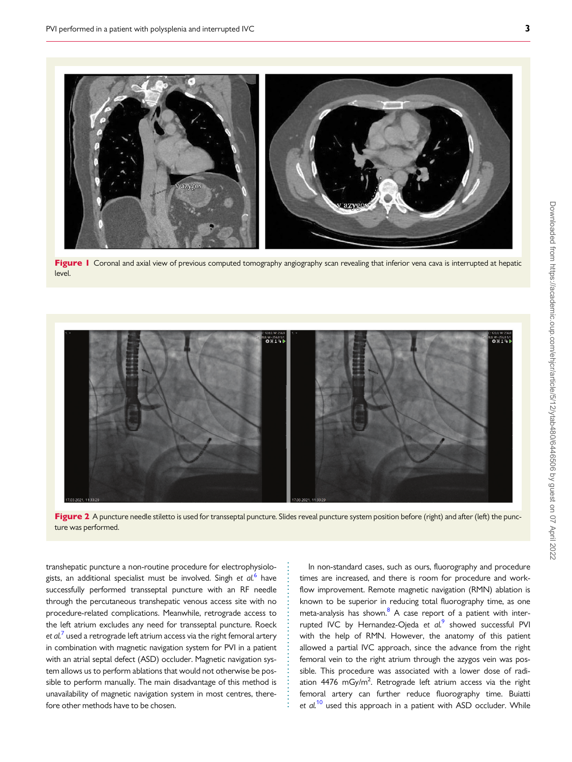<span id="page-2-0"></span>

Figure I Coronal and axial view of previous computed tomography angiography scan revealing that inferior vena cava is interrupted at hepatic level.



Figure 2 A puncture needle stiletto is used for transseptal puncture. Slides reveal puncture system position before (right) and after (left) the puncture was performed.

. . . . . . . . . . . . . . . . . . . . . . . . . . . . . . . . . . . . . .

. transhepatic puncture a non-routine procedure for electrophysiologists, an additional specialist must be involved. Singh et  $al^6$  $al^6$  have successfully performed transseptal puncture with an RF needle through the percutaneous transhepatic venous access site with no procedure-related complications. Meanwhile, retrograde access to the left atrium excludes any need for transseptal puncture. Roeck et  $al^7$  $al^7$  used a retrograde left atrium access via the right femoral artery in combination with magnetic navigation system for PVI in a patient with an atrial septal defect (ASD) occluder. Magnetic navigation system allows us to perform ablations that would not otherwise be possible to perform manually. The main disadvantage of this method is unavailability of magnetic navigation system in most centres, therefore other methods have to be chosen.

In non-standard cases, such as ours, fluorography and procedure times are increased, and there is room for procedure and workflow improvement. Remote magnetic navigation (RMN) ablation is known to be superior in reducing total fluorography time, as one meta-analysis has shown.<sup>8</sup> A case report of a patient with interrupted IVC by Hernandez-Ojeda et  $al^9$  $al^9$  showed successful PVI with the help of RMN. However, the anatomy of this patient allowed a partial IVC approach, since the advance from the right femoral vein to the right atrium through the azygos vein was possible. This procedure was associated with a lower dose of radiation 4476 mGy/m<sup>2</sup>. Retrograde left atrium access via the right femoral artery can further reduce fluorography time. Buiatti et  $al$ <sup>[10](#page-4-0)</sup> used this approach in a patient with ASD occluder. While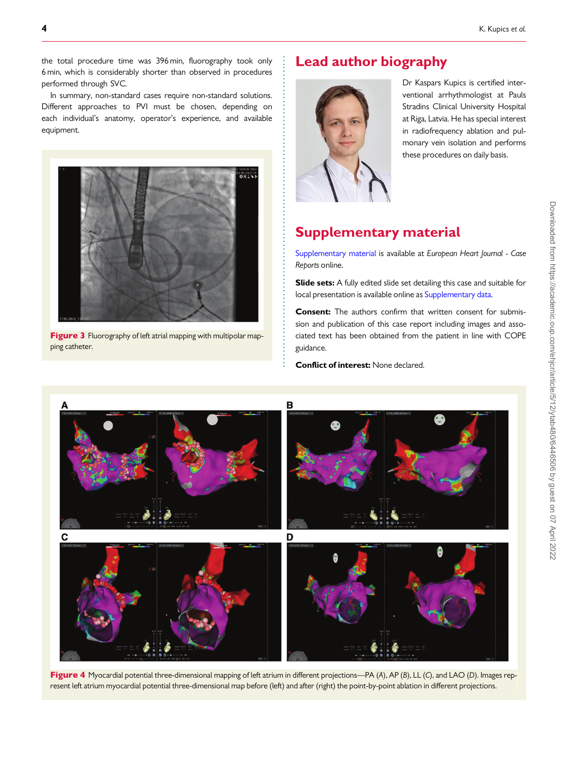<span id="page-3-0"></span>. the total procedure time was 396 min, fluorography took only 6 min, which is considerably shorter than observed in procedures performed through SVC.

In summary, non-standard cases require non-standard solutions. Different approaches to PVI must be chosen, depending on each individual's anatomy, operator's experience, and available equipment.



Figure 3 Fluorography of left atrial mapping with multipolar mapping catheter.

# Lead author biography



. .

> Dr Kaspars Kupics is certified interventional arrhythmologist at Pauls Stradins Clinical University Hospital at Riga, Latvia. He has special interest in radiofrequency ablation and pulmonary vein isolation and performs these procedures on daily basis.

# Supplementary material

[Supplementary material](https://academic.oup.com/ehjcr/article-lookup/doi/10.1093/ehjcr/ytab480#supplementary-data) is available at European Heart Journal - Case Reports online.

Slide sets: A fully edited slide set detailing this case and suitable for local presentation is available online as [Supplementary data.](https://academic.oup.com/ehjcr/article-lookup/doi/10.1093/ehjcr/ytab480#supplementary-data)

Consent: The authors confirm that written consent for submission and publication of this case report including images and associated text has been obtained from the patient in line with COPE guidance.

Conflict of interest: None declared.



. . . . . . . . . . . . . . . . . . . . . . . . . . . . . . . . . . . . . . . . . . . . . . . . . . . . . . . . . . . . . . . . . . . . . . . . . . . . . . . .

Figure 4 Myocardial potential three-dimensional mapping of left atrium in different projections—PA (A), AP (B), LL (C), and LAO (D). Images represent left atrium myocardial potential three-dimensional map before (left) and after (right) the point-by-point ablation in different projections.